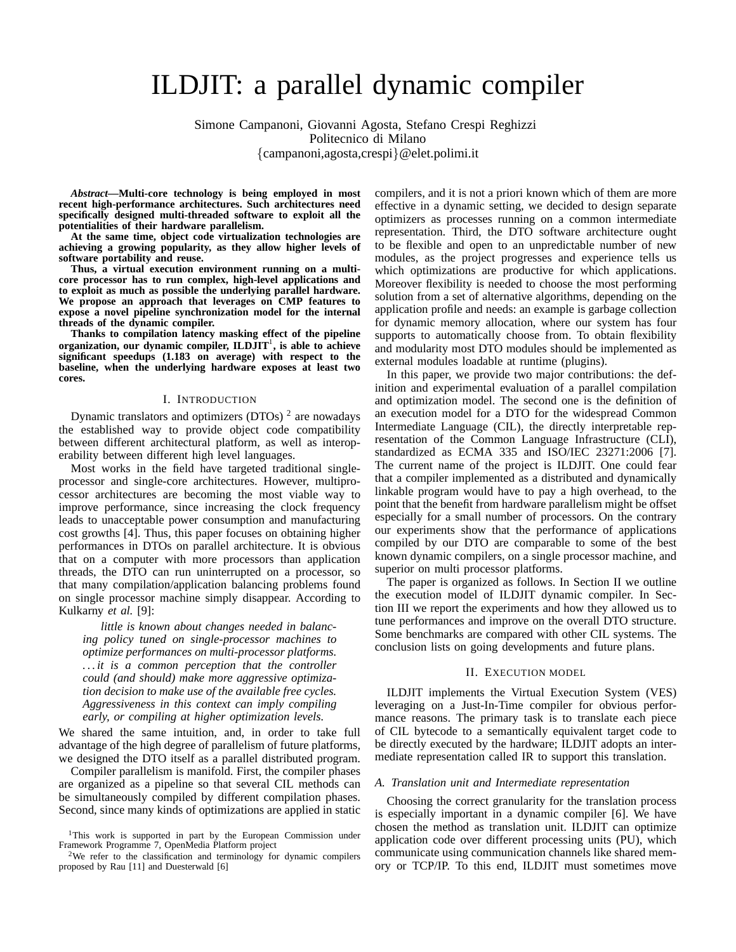# ILDJIT: a parallel dynamic compiler

Simone Campanoni, Giovanni Agosta, Stefano Crespi Reghizzi Politecnico di Milano {campanoni,agosta,crespi}@elet.polimi.it

*Abstract***—Multi-core technology is being employed in most recent high-performance architectures. Such architectures need specifically designed multi-threaded software to exploit all the potentialities of their hardware parallelism.**

**At the same time, object code virtualization technologies are achieving a growing popularity, as they allow higher levels of software portability and reuse.**

**Thus, a virtual execution environment running on a multicore processor has to run complex, high-level applications and to exploit as much as possible the underlying parallel hardware. We propose an approach that leverages on CMP features to expose a novel pipeline synchronization model for the internal threads of the dynamic compiler.**

**Thanks to compilation latency masking effect of the pipeline organization, our dynamic compiler, ILDJIT**<sup>1</sup> **, is able to achieve significant speedups (1.183 on average) with respect to the baseline, when the underlying hardware exposes at least two cores.**

#### I. INTRODUCTION

Dynamic translators and optimizers (DTOs)<sup>2</sup> are nowadays the established way to provide object code compatibility between different architectural platform, as well as interoperability between different high level languages.

Most works in the field have targeted traditional singleprocessor and single-core architectures. However, multiprocessor architectures are becoming the most viable way to improve performance, since increasing the clock frequency leads to unacceptable power consumption and manufacturing cost growths [4]. Thus, this paper focuses on obtaining higher performances in DTOs on parallel architecture. It is obvious that on a computer with more processors than application threads, the DTO can run uninterrupted on a processor, so that many compilation/application balancing problems found on single processor machine simply disappear. According to Kulkarny *et al.* [9]:

*little is known about changes needed in balancing policy tuned on single-processor machines to optimize performances on multi-processor platforms. . . . it is a common perception that the controller could (and should) make more aggressive optimization decision to make use of the available free cycles. Aggressiveness in this context can imply compiling early, or compiling at higher optimization levels.*

We shared the same intuition, and, in order to take full advantage of the high degree of parallelism of future platforms, we designed the DTO itself as a parallel distributed program.

Compiler parallelism is manifold. First, the compiler phases are organized as a pipeline so that several CIL methods can be simultaneously compiled by different compilation phases. Second, since many kinds of optimizations are applied in static

<sup>2</sup>We refer to the classification and terminology for dynamic compilers proposed by Rau [11] and Duesterwald [6]

compilers, and it is not a priori known which of them are more effective in a dynamic setting, we decided to design separate optimizers as processes running on a common intermediate representation. Third, the DTO software architecture ought to be flexible and open to an unpredictable number of new modules, as the project progresses and experience tells us which optimizations are productive for which applications. Moreover flexibility is needed to choose the most performing solution from a set of alternative algorithms, depending on the application profile and needs: an example is garbage collection for dynamic memory allocation, where our system has four supports to automatically choose from. To obtain flexibility and modularity most DTO modules should be implemented as external modules loadable at runtime (plugins).

In this paper, we provide two major contributions: the definition and experimental evaluation of a parallel compilation and optimization model. The second one is the definition of an execution model for a DTO for the widespread Common Intermediate Language (CIL), the directly interpretable representation of the Common Language Infrastructure (CLI), standardized as ECMA 335 and ISO/IEC 23271:2006 [7]. The current name of the project is ILDJIT. One could fear that a compiler implemented as a distributed and dynamically linkable program would have to pay a high overhead, to the point that the benefit from hardware parallelism might be offset especially for a small number of processors. On the contrary our experiments show that the performance of applications compiled by our DTO are comparable to some of the best known dynamic compilers, on a single processor machine, and superior on multi processor platforms.

The paper is organized as follows. In Section II we outline the execution model of ILDJIT dynamic compiler. In Section III we report the experiments and how they allowed us to tune performances and improve on the overall DTO structure. Some benchmarks are compared with other CIL systems. The conclusion lists on going developments and future plans.

# II. EXECUTION MODEL

ILDJIT implements the Virtual Execution System (VES) leveraging on a Just-In-Time compiler for obvious performance reasons. The primary task is to translate each piece of CIL bytecode to a semantically equivalent target code to be directly executed by the hardware; ILDJIT adopts an intermediate representation called IR to support this translation.

### *A. Translation unit and Intermediate representation*

Choosing the correct granularity for the translation process is especially important in a dynamic compiler [6]. We have chosen the method as translation unit. ILDJIT can optimize application code over different processing units (PU), which communicate using communication channels like shared memory or TCP/IP. To this end, ILDJIT must sometimes move

<sup>&</sup>lt;sup>1</sup>This work is supported in part by the European Commission under Framework Programme 7, OpenMedia Platform project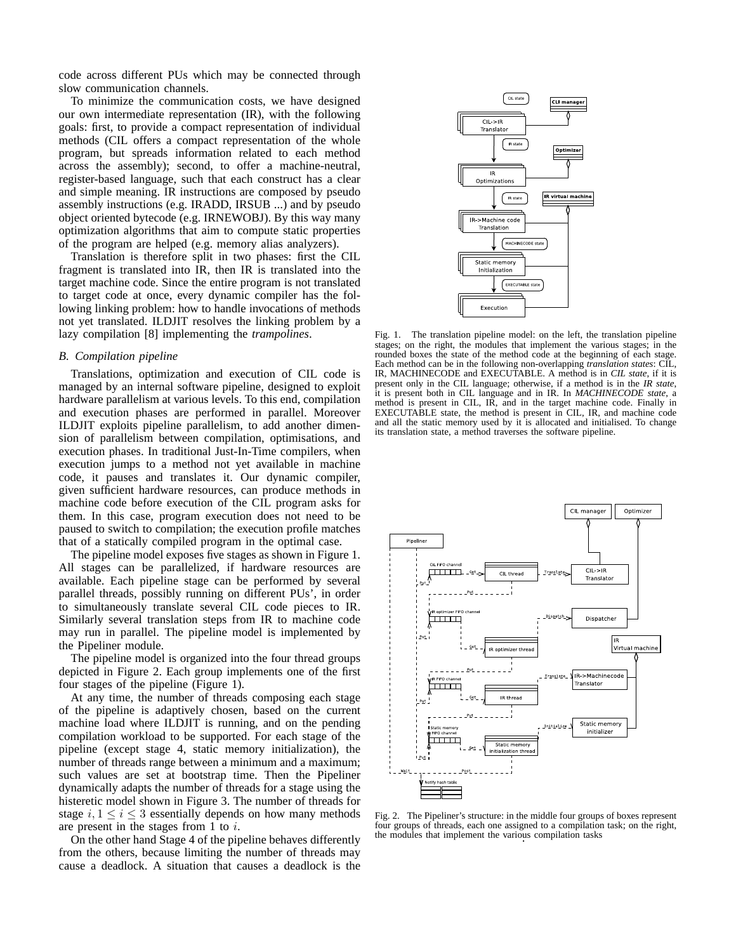code across different PUs which may be connected through slow communication channels.

To minimize the communication costs, we have designed our own intermediate representation (IR), with the following goals: first, to provide a compact representation of individual methods (CIL offers a compact representation of the whole program, but spreads information related to each method across the assembly); second, to offer a machine-neutral, register-based language, such that each construct has a clear and simple meaning. IR instructions are composed by pseudo assembly instructions (e.g. IRADD, IRSUB ...) and by pseudo object oriented bytecode (e.g. IRNEWOBJ). By this way many optimization algorithms that aim to compute static properties of the program are helped (e.g. memory alias analyzers).

Translation is therefore split in two phases: first the CIL fragment is translated into IR, then IR is translated into the target machine code. Since the entire program is not translated to target code at once, every dynamic compiler has the following linking problem: how to handle invocations of methods not yet translated. ILDJIT resolves the linking problem by a lazy compilation [8] implementing the *trampolines*.

# *B. Compilation pipeline*

Translations, optimization and execution of CIL code is managed by an internal software pipeline, designed to exploit hardware parallelism at various levels. To this end, compilation and execution phases are performed in parallel. Moreover ILDJIT exploits pipeline parallelism, to add another dimension of parallelism between compilation, optimisations, and execution phases. In traditional Just-In-Time compilers, when execution jumps to a method not yet available in machine code, it pauses and translates it. Our dynamic compiler, given sufficient hardware resources, can produce methods in machine code before execution of the CIL program asks for them. In this case, program execution does not need to be paused to switch to compilation; the execution profile matches that of a statically compiled program in the optimal case.

The pipeline model exposes five stages as shown in Figure 1. All stages can be parallelized, if hardware resources are available. Each pipeline stage can be performed by several parallel threads, possibly running on different PUs', in order to simultaneously translate several CIL code pieces to IR. Similarly several translation steps from IR to machine code may run in parallel. The pipeline model is implemented by the Pipeliner module.

The pipeline model is organized into the four thread groups depicted in Figure 2. Each group implements one of the first four stages of the pipeline (Figure 1).

At any time, the number of threads composing each stage of the pipeline is adaptively chosen, based on the current machine load where ILDJIT is running, and on the pending compilation workload to be supported. For each stage of the pipeline (except stage 4, static memory initialization), the number of threads range between a minimum and a maximum; such values are set at bootstrap time. Then the Pipeliner dynamically adapts the number of threads for a stage using the histeretic model shown in Figure 3. The number of threads for stage  $i, 1 \leq i \leq 3$  essentially depends on how many methods are present in the stages from 1 to  $i$ .

On the other hand Stage 4 of the pipeline behaves differently from the others, because limiting the number of threads may cause a deadlock. A situation that causes a deadlock is the



Fig. 1. The translation pipeline model: on the left, the translation pipeline stages; on the right, the modules that implement the various stages; in the rounded boxes the state of the method code at the beginning of each stage. Each method can be in the following non-overlapping *translation states*: CIL, IR, MACHINECODE and EXECUTABLE. A method is in *CIL state*, if it is present only in the CIL language; otherwise, if a method is in the *IR state*, it is present both in CIL language and in IR. In *MACHINECODE state*, a method is present in CIL, IR, and in the target machine code. Finally in EXECUTABLE state, the method is present in CIL, IR, and machine code and all the static memory used by it is allocated and initialised. To change its translation state, a method traverses the software pipeline.



Fig. 2. The Pipeliner's structure: in the middle four groups of boxes represent four groups of threads, each one assigned to a compilation task; on the right, the modules that implement the various compilation tasks .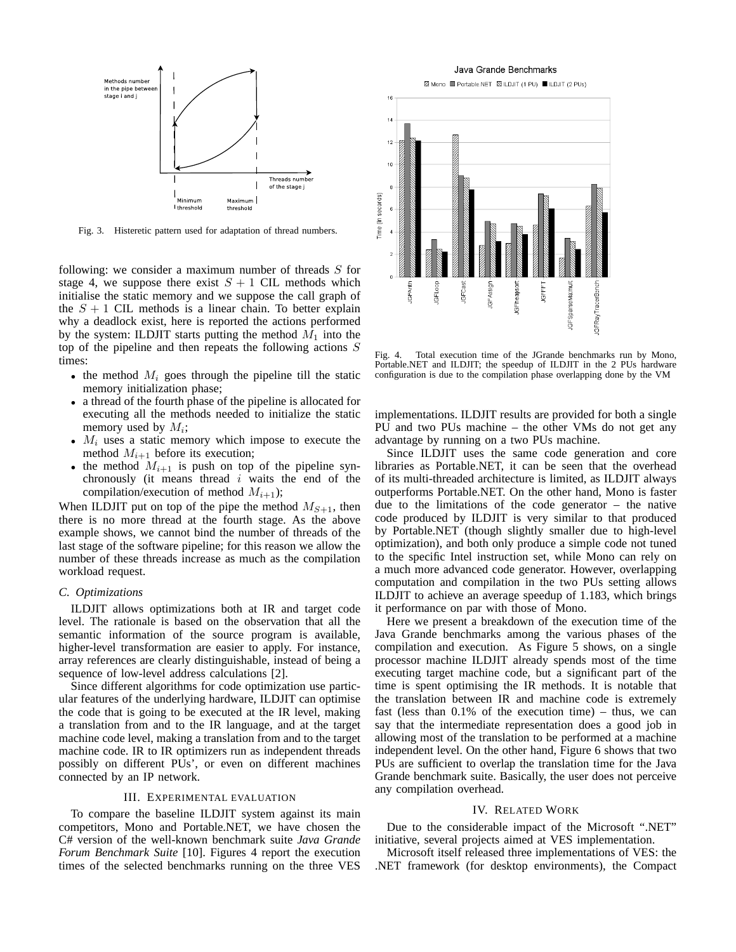

Fig. 3. Histeretic pattern used for adaptation of thread numbers.

following: we consider a maximum number of threads  $S$  for stage 4, we suppose there exist  $S + 1$  CIL methods which initialise the static memory and we suppose the call graph of the  $S + 1$  CIL methods is a linear chain. To better explain why a deadlock exist, here is reported the actions performed by the system: ILDJIT starts putting the method  $M_1$  into the top of the pipeline and then repeats the following actions  $S$ times:

- the method  $M_i$  goes through the pipeline till the static memory initialization phase;
- a thread of the fourth phase of the pipeline is allocated for executing all the methods needed to initialize the static memory used by  $M_i$ ;
- $M_i$  uses a static memory which impose to execute the method  $M_{i+1}$  before its execution;
- the method  $M_{i+1}$  is push on top of the pipeline synchronously (it means thread  $i$  waits the end of the compilation/execution of method  $M_{i+1}$ );

When ILDJIT put on top of the pipe the method  $M_{S+1}$ , then there is no more thread at the fourth stage. As the above example shows, we cannot bind the number of threads of the last stage of the software pipeline; for this reason we allow the number of these threads increase as much as the compilation workload request.

# *C. Optimizations*

ILDJIT allows optimizations both at IR and target code level. The rationale is based on the observation that all the semantic information of the source program is available, higher-level transformation are easier to apply. For instance, array references are clearly distinguishable, instead of being a sequence of low-level address calculations [2].

Since different algorithms for code optimization use particular features of the underlying hardware, ILDJIT can optimise the code that is going to be executed at the IR level, making a translation from and to the IR language, and at the target machine code level, making a translation from and to the target machine code. IR to IR optimizers run as independent threads possibly on different PUs', or even on different machines connected by an IP network.

### III. EXPERIMENTAL EVALUATION

To compare the baseline ILDJIT system against its main competitors, Mono and Portable.NET, we have chosen the C# version of the well-known benchmark suite *Java Grande Forum Benchmark Suite* [10]. Figures 4 report the execution times of the selected benchmarks running on the three VES



Fig. 4. Total execution time of the JGrande benchmarks run by Mono, Portable.NET and ILDJIT; the speedup of ILDJIT in the 2 PUs hardware configuration is due to the compilation phase overlapping done by the VM

implementations. ILDJIT results are provided for both a single PU and two PUs machine – the other VMs do not get any advantage by running on a two PUs machine.

Since ILDJIT uses the same code generation and core libraries as Portable.NET, it can be seen that the overhead of its multi-threaded architecture is limited, as ILDJIT always outperforms Portable.NET. On the other hand, Mono is faster due to the limitations of the code generator – the native code produced by ILDJIT is very similar to that produced by Portable.NET (though slightly smaller due to high-level optimization), and both only produce a simple code not tuned to the specific Intel instruction set, while Mono can rely on a much more advanced code generator. However, overlapping computation and compilation in the two PUs setting allows ILDJIT to achieve an average speedup of 1.183, which brings it performance on par with those of Mono.

Here we present a breakdown of the execution time of the Java Grande benchmarks among the various phases of the compilation and execution. As Figure 5 shows, on a single processor machine ILDJIT already spends most of the time executing target machine code, but a significant part of the time is spent optimising the IR methods. It is notable that the translation between IR and machine code is extremely fast (less than  $0.1\%$  of the execution time) – thus, we can say that the intermediate representation does a good job in allowing most of the translation to be performed at a machine independent level. On the other hand, Figure 6 shows that two PUs are sufficient to overlap the translation time for the Java Grande benchmark suite. Basically, the user does not perceive any compilation overhead.

## IV. RELATED WORK

Due to the considerable impact of the Microsoft ".NET" initiative, several projects aimed at VES implementation.

Microsoft itself released three implementations of VES: the .NET framework (for desktop environments), the Compact